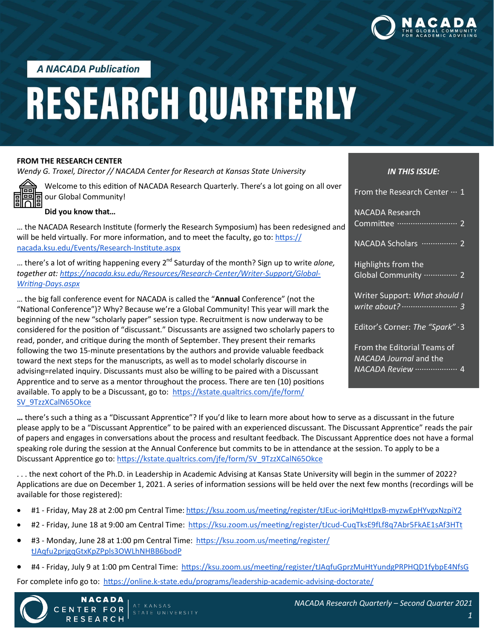

**A NACADA Publication** 

# **RESEARCH QUARTERLY**

#### **FROM THE RESEARCH CENTER**

*Wendy G. Troxel, Director // NACADA Center for Research at Kansas State University*



Welcome to this edition of NACADA Research Quarterly. There's a lot going on all over our Global Community!

#### **Did you know that…**

… the NACADA Research Institute (formerly the Research Symposium) has been redesigned and will be held virtually. For more information, and to meet the faculty, go to:  $\frac{https://}{https://}$ [nacada.ksu.edu/Events/Research](https://nacada.ksu.edu/Events/Research-Institute.aspx)-Institute.aspx

... there's a lot of writing happening every 2<sup>nd</sup> Saturday of the month? Sign up to write *alone*, *together at: [https://nacada.ksu.edu/Resources/Research](https://nacada.ksu.edu/Resources/Research-Center/Writer-Support/Global-Writing-Days.aspx)-Center/Writer-Support/Global-Writing-[Days.aspx](https://nacada.ksu.edu/Resources/Research-Center/Writer-Support/Global-Writing-Days.aspx)*

… the big fall conference event for NACADA is called the "**Annual** Conference" (not the "National Conference")? Why? Because we're a Global Community! This year will mark the beginning of the new "scholarly paper" session type. Recruitment is now underway to be considered for the position of "discussant." Discussants are assigned two scholarly papers to read, ponder, and critique during the month of September. They present their remarks following the two 15-minute presentations by the authors and provide valuable feedback toward the next steps for the manuscripts, as well as to model scholarly discourse in advising=related inquiry. Discussants must also be willing to be paired with a Discussant Apprentice and to serve as a mentor throughout the process. There are ten (10) positions available. To apply to be a Discussant, go to: [https://kstate.qualtrics.com/jfe/form/](https://kstate.qualtrics.com/jfe/form/SV_9TzzXCalN65Okce) [SV\\_9TzzXCalN65Okce](https://kstate.qualtrics.com/jfe/form/SV_9TzzXCalN65Okce)

### *IN THIS ISSUE:* From the Research Center  $\cdots$  1

NACADA Research Committee ··························· 2 NACADA Scholars ················· 2 Highlights from the Global Community ················ 2 Writer Support: *What should I write about? ························· 3* Editor's Corner: *The "Spark"* ·3 From the Editorial Teams of

*NACADA Journal* and the *NACADA Review* ··················· 4

**…** there's such a thing as a "Discussant Apprentice"? If you'd like to learn more about how to serve as a discussant in the future please apply to be a "Discussant Apprentice" to be paired with an experienced discussant. The Discussant Apprentice" reads the pair of papers and engages in conversations about the process and resultant feedback. The Discussant Apprentice does not have a formal speaking role during the session at the Annual Conference but commits to be in attendance at the session. To apply to be a Discussant Apprentice go to: [https://kstate.qualtrics.com/jfe/form/SV\\_9TzzXCalN65Okce](https://kstate.qualtrics.com/jfe/form/SV_9TzzXCalN65Okce)

. . . the next cohort of the Ph.D. in Leadership in Academic Advising at Kansas State University will begin in the summer of 2022? Applications are due on December 1, 2021. A series of information sessions will be held over the next few months (recordings will be available for those registered):

- #1 Friday, May 28 at 2:00 pm Central Time: [https://ksu.zoom.us/meeting/register/tJEuc](https://ksu.zoom.us/meeting/register/tJEuc-iorjMqHtIpxB-myzwEpHYvgxNzpiY2)-iorjMqHtIpxB-myzwEpHYvgxNzpiY2
- #2 Friday, June 18 at 9:00 am Central Time: [https://ksu.zoom.us/meeting/register/tJcud](https://ksu.zoom.us/meeting/register/tJcud-CuqTksE9fLf8q7Abr5FkAE1sAf3HTt)-CuqTksE9fLf8q7Abr5FkAE1sAf3HTt
- #3 Monday, June 28 at 1:00 pm Central Time: [https://ksu.zoom.us/meeting/register/](https://ksu.zoom.us/meeting/register/tJAqfu2prjgqGtxKpZPpls3OWLhNHBB6bodP) [tJAqfu2prjgqGtxKpZPpls3OWLhNHBB6bodP](https://ksu.zoom.us/meeting/register/tJAqfu2prjgqGtxKpZPpls3OWLhNHBB6bodP)
- #4 Friday, July 9 at 1:00 pm Central Time:<https://ksu.zoom.us/meeting/register/tJAqfuGprzMuHtYundgPRPHQD1fybpE4NfsG>

For complete info go to: https://online.k-[state.edu/programs/leadership](https://online.k-state.edu/programs/leadership-academic-advising-doctorate/)-academic-advising-doctorate/



**NACADA** 

CENTER FOR

**RESEARCH**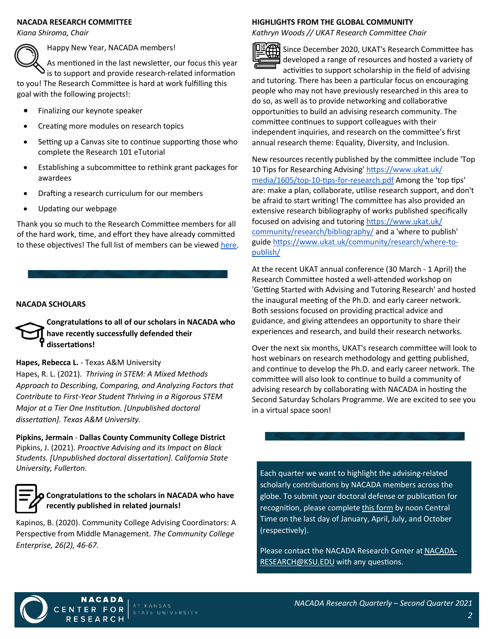#### **NACADA RESEARCH COMMITTEE**

*Kiana Shiroma, Chair*

Happy New Year, NACADA members!

As mentioned in the last newsletter, our focus this year  $\mathbf{S}$  is to support and provide research-related information

to you! The Research Committee is hard at work fulfilling this goal with the following projects!:

- Finalizing our keynote speaker
- Creating more modules on research topics
- Setting up a Canvas site to continue supporting those who complete the Research 101 eTutorial
- Establishing a subcommittee to rethink grant packages for awardees
- Drafting a research curriculum for our members
- Updating our webpage

Thank you so much to the Research Committee members for all of the hard work, time, and effort they have already committed to these objectives! The full list of members can be viewed [here.](https://nacada.ksu.edu/About-Us/NACADA-Leadership/Administrative-Division/Research-Committee.aspx)

#### **NACADA SCHOLARS**

**Congratulations to all of our scholars in NACADA who have recently successfully defended their dissertations!**

#### **Hapes, Rebecca L.** - Texas A&M University

Hapes, R. L. (2021). *Thriving in STEM: A Mixed Methods Approach to Describing, Comparing, and Analyzing Factors that Contribute to First-Year Student Thriving in a Rigorous STEM Major at a Tier One Institution. [Unpublished doctoral dissertation]. Texas A&M University.*

**Pipkins, Jermain** - **Dallas County Community College District** Pipkins, J. (2021). *Proactive Advising and its Impact on Black Students. [Unpublished doctoral dissertation]. California State University, Fullerton.*



#### **Congratulations to the scholars in NACADA who have recently published in related journals!**

Kapinos, B. (2020). Community College Advising Coordinators: A Perspective from Middle Management. *The Community College Enterprise, 26(2), 46-67.*

**NACADA** 

#### **HIGHLIGHTS FROM THE GLOBAL COMMUNITY**

*Kathryn Woods // UKAT Research Committee Chair*



Since December 2020, UKAT's Research Committee has developed a range of resources and hosted a variety of

activities to support scholarship in the field of advising and tutoring. There has been a particular focus on encouraging people who may not have previously researched in this area to do so, as well as to provide networking and collaborative opportunities to build an advising research community. The committee continues to support colleagues with their independent inquiries, and research on the committee's first annual research theme: Equality, Diversity, and Inclusion.

New resources recently published by the committee include 'Top 10 Tips for Researching Advising' [https://www.ukat.uk/](https://www.ukat.uk/media/1605/top-10-tips-for-research.pdf) [media/1605/top](https://www.ukat.uk/media/1605/top-10-tips-for-research.pdf)-10-tips-for-research.pdf Among the 'top tips' are: make a plan, collaborate, utilise research support, and don't be afraid to start writing! The committee has also provided an extensive research bibliography of works published specifically focused on advising and tutoring [https://www.ukat.uk/](https://www.ukat.uk/community/research/bibliography/) [community/research/bibliography/](https://www.ukat.uk/community/research/bibliography/) and a 'where to publish' guide [https://www.ukat.uk/community/research/where](https://www.ukat.uk/community/research/where-to-publish/)-to[publish/](https://www.ukat.uk/community/research/where-to-publish/)

At the recent UKAT annual conference (30 March - 1 April) the Research Committee hosted a well-attended workshop on 'Getting Started with Advising and Tutoring Research' and hosted the inaugural meeting of the Ph.D. and early career network. Both sessions focused on providing practical advice and guidance, and giving attendees an opportunity to share their experiences and research, and build their research networks.

Over the next six months, UKAT's research committee will look to host webinars on research methodology and getting published, and continue to develop the Ph.D. and early career network. The committee will also look to continue to build a community of advising research by collaborating with NACADA in hosting the Second Saturday Scholars Programme. We are excited to see you in a virtual space soon!

Each quarter we want to highlight the advising-related scholarly contributions by NACADA members across the globe. To submit your doctoral defense or publication for recognition, please complete [this form](https://bit.ly/NACADAScholars) by noon Central Time on the last day of January, April, July, and October (respectively).

Please contact the NACADA Research Center at [NACADA](mailto:NACADA-RESEARCH@KSU.EDU?subject=NACADA%20Scholars)-[RESEARCH@KSU.EDU](mailto:NACADA-RESEARCH@KSU.EDU?subject=NACADA%20Scholars) with any questions.

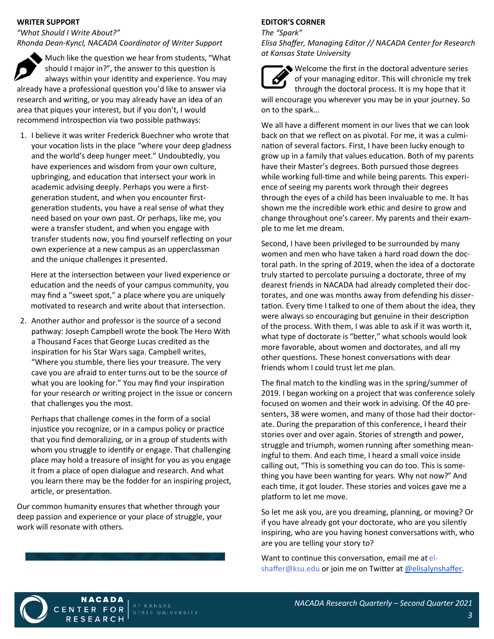#### **WRITER SUPPORT**

*"What Should I Write About?" Rhonda Dean-Kyncl, NACADA Coordinator of Writer Support*

Much like the question we hear from students, "What should I major in?", the answer to this question is always within your identity and experience. You may already have a professional question you'd like to answer via research and writing, or you may already have an idea of an area that piques your interest, but if you don't, I would recommend introspection via two possible pathways:

1. I believe it was writer Frederick Buechner who wrote that your vocation lists in the place "where your deep gladness and the world's deep hunger meet." Undoubtedly, you have experiences and wisdom from your own culture, upbringing, and education that intersect your work in academic advising deeply. Perhaps you were a firstgeneration student, and when you encounter firstgeneration students, you have a real sense of what they need based on your own past. Or perhaps, like me, you were a transfer student, and when you engage with transfer students now, you find yourself reflecting on your own experience at a new campus as an upperclassman and the unique challenges it presented.

Here at the intersection between your lived experience or education and the needs of your campus community, you may find a "sweet spot," a place where you are uniquely motivated to research and write about that intersection.

2. Another author and professor is the source of a second pathway: Joseph Campbell wrote the book The Hero With a Thousand Faces that George Lucas credited as the inspiration for his Star Wars saga. Campbell writes, "Where you stumble, there lies your treasure. The very cave you are afraid to enter turns out to be the source of what you are looking for." You may find your inspiration for your research or writing project in the issue or concern that challenges you the most.

Perhaps that challenge comes in the form of a social injustice you recognize, or in a campus policy or practice that you find demoralizing, or in a group of students with whom you struggle to identify or engage. That challenging place may hold a treasure of insight for you as you engage it from a place of open dialogue and research. And what you learn there may be the fodder for an inspiring project, article, or presentation.

Our common humanity ensures that whether through your deep passion and experience or your place of struggle, your work will resonate with others.

**NACADA** 

RESEARCH

FOR

CENTER

#### **EDITOR'S CORNER**

*The "Spark"*

*Elisa Shaffer, Managing Editor // NACADA Center for Research at Kansas State University*

Welcome the first in the doctoral adventure series of your managing editor. This will chronicle my trek through the doctoral process. It is my hope that it will encourage you wherever you may be in your journey. So on to the spark…

We all have a different moment in our lives that we can look back on that we reflect on as pivotal. For me, it was a culmination of several factors. First, I have been lucky enough to grow up in a family that values education. Both of my parents have their Master's degrees. Both pursued those degrees while working full-time and while being parents. This experience of seeing my parents work through their degrees through the eyes of a child has been invaluable to me. It has shown me the incredible work ethic and desire to grow and change throughout one's career. My parents and their example to me let me dream.

Second, I have been privileged to be surrounded by many women and men who have taken a hard road down the doctoral path. In the spring of 2019, when the idea of a doctorate truly started to percolate pursuing a doctorate, three of my dearest friends in NACADA had already completed their doctorates, and one was months away from defending his dissertation. Every time I talked to one of them about the idea, they were always so encouraging but genuine in their description of the process. With them, I was able to ask if it was worth it, what type of doctorate is "better," what schools would look more favorable, about women and doctorates, and all my other questions. These honest conversations with dear friends whom I could trust let me plan.

The final match to the kindling was in the spring/summer of 2019. I began working on a project that was conference solely focused on women and their work in advising. Of the 40 presenters, 38 were women, and many of those had their doctorate. During the preparation of this conference, I heard their stories over and over again. Stories of strength and power, struggle and triumph, women running after something meaningful to them. And each time, I heard a small voice inside calling out, "This is something you can do too. This is something you have been wanting for years. Why not now?" And each time, it got louder. These stories and voices gave me a platform to let me move.

So let me ask you, are you dreaming, planning, or moving? Or if you have already got your doctorate, who are you silently inspiring, who are you having honest conversations with, who are you are telling your story to?

Want to continue this conversation, email me at el-shaffer@ksu.edu or join me on Twitter at [@elisalynshaffer.](https://twitter.com/elisalynshaffer)